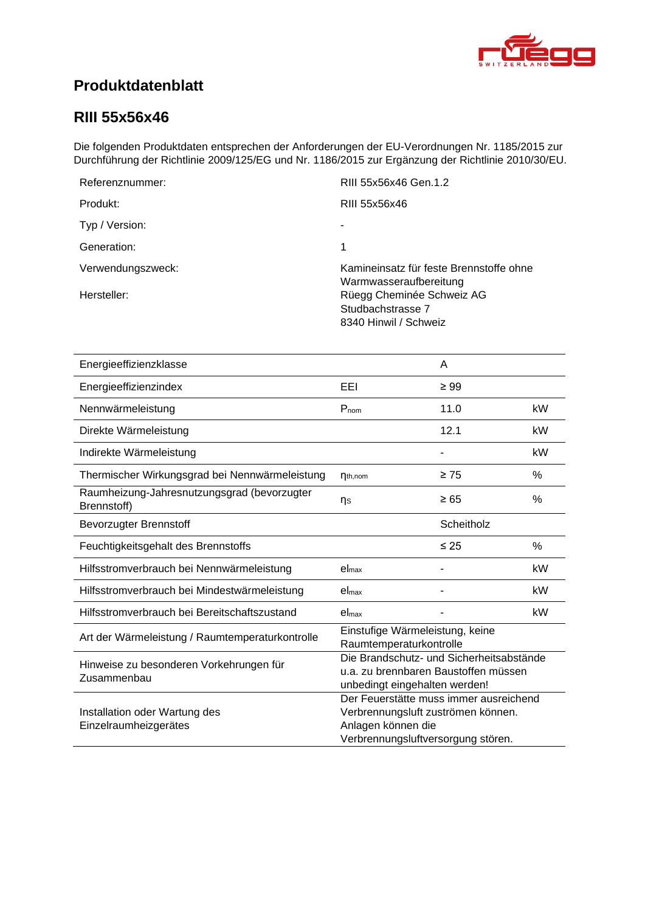<span id="page-0-4"></span><span id="page-0-3"></span><span id="page-0-2"></span><span id="page-0-1"></span>

# **Produktdatenblatt**

### <span id="page-0-0"></span>**RIII 55x56x46**

Die folgenden Produktdaten entsprechen der Anforderungen der EU-Verordnungen Nr. 1185/2015 zur Durchführung der Richtlinie 2009/125/EG und Nr. 1186/2015 zur Ergänzung der Richtlinie 2010/30/EU.

| Referenznummer:   | RIII 55x56x46 Gen.1.2                                                   |
|-------------------|-------------------------------------------------------------------------|
| Produkt:          | RIII 55x56x46                                                           |
| Typ / Version:    |                                                                         |
| Generation:       | 1                                                                       |
| Verwendungszweck: | Kamineinsatz für feste Brennstoffe ohne<br>Warmwasseraufbereitung       |
| Hersteller:       | Rüegg Cheminée Schweiz AG<br>Studbachstrasse 7<br>8340 Hinwil / Schweiz |

<span id="page-0-8"></span><span id="page-0-7"></span><span id="page-0-6"></span><span id="page-0-5"></span>

| Energieeffizienzklasse                                     |                                                                                                                                          | A          |      |
|------------------------------------------------------------|------------------------------------------------------------------------------------------------------------------------------------------|------------|------|
| Energieeffizienzindex                                      | EEL                                                                                                                                      | $\geq 99$  |      |
| Nennwärmeleistung                                          | $P_{nom}$                                                                                                                                | 11.0       | kW   |
| Direkte Wärmeleistung                                      |                                                                                                                                          | 12.1       | kW   |
| Indirekte Wärmeleistung                                    |                                                                                                                                          |            | kW   |
| Thermischer Wirkungsgrad bei Nennwärmeleistung             | $n_{th,nom}$                                                                                                                             | $\geq 75$  | %    |
| Raumheizung-Jahresnutzungsgrad (bevorzugter<br>Brennstoff) | ηs                                                                                                                                       | $\geq 65$  | %    |
| <b>Bevorzugter Brennstoff</b>                              |                                                                                                                                          | Scheitholz |      |
| Feuchtigkeitsgehalt des Brennstoffs                        |                                                                                                                                          | $\leq 25$  | $\%$ |
| Hilfsstromverbrauch bei Nennwärmeleistung                  | el <sub>max</sub>                                                                                                                        |            | kW   |
| Hilfsstromverbrauch bei Mindestwärmeleistung               | el <sub>max</sub>                                                                                                                        |            | kW   |
| Hilfsstromverbrauch bei Bereitschaftszustand               | el <sub>max</sub>                                                                                                                        |            | kW   |
| Art der Wärmeleistung / Raumtemperaturkontrolle            | Einstufige Wärmeleistung, keine<br>Raumtemperaturkontrolle                                                                               |            |      |
| Hinweise zu besonderen Vorkehrungen für<br>Zusammenbau     | Die Brandschutz- und Sicherheitsabstände<br>u.a. zu brennbaren Baustoffen müssen<br>unbedingt eingehalten werden!                        |            |      |
| Installation oder Wartung des<br>Einzelraumheizgerätes     | Der Feuerstätte muss immer ausreichend<br>Verbrennungsluft zuströmen können.<br>Anlagen können die<br>Verbrennungsluftversorgung stören. |            |      |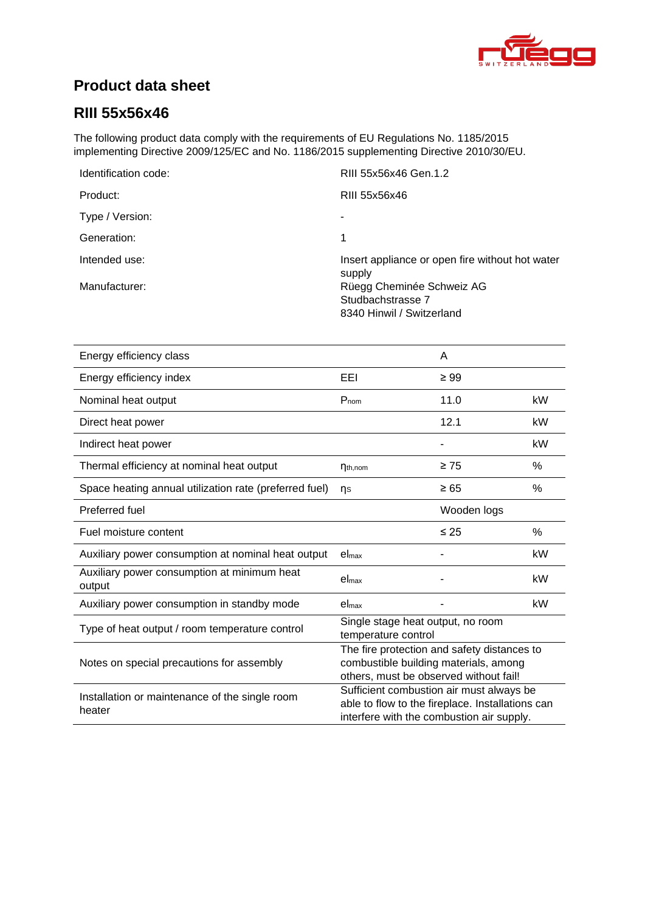

# **Product data sheet**

## **RIII [55x56x46](#page-0-0)**

The following product data comply with the requirements of EU Regulations No. 1185/2015 implementing Directive 2009/125/EC and No. 1186/2015 supplementing Directive 2010/30/EU.

| Identification code: | RIII 55x56x46 Gen.1.2                                     |
|----------------------|-----------------------------------------------------------|
| Product:             | RIII 55x56x46                                             |
| Type / Version:      |                                                           |
| Generation:          | 1                                                         |
| Intended use:        | Insert appliance or open fire without hot water<br>supply |
| Manufacturer:        | Rüegg Cheminée Schweiz AG                                 |
|                      | Studbachstrasse 7                                         |
|                      | 8340 Hinwil / Switzerland                                 |

| Energy efficiency class                                  |                                                                                                                                           | A           |      |
|----------------------------------------------------------|-------------------------------------------------------------------------------------------------------------------------------------------|-------------|------|
| Energy efficiency index                                  | EEI                                                                                                                                       | $\geq 99$   |      |
| Nominal heat output                                      | $P_{nom}$                                                                                                                                 | 11.0        | kW   |
| Direct heat power                                        |                                                                                                                                           | 12.1        | kW   |
| Indirect heat power                                      |                                                                                                                                           |             | kW   |
| Thermal efficiency at nominal heat output                | $\eta_{th,nom}$                                                                                                                           | $\geq 75$   | %    |
| Space heating annual utilization rate (preferred fuel)   | ns                                                                                                                                        | $\geq 65$   | %    |
| Preferred fuel                                           |                                                                                                                                           | Wooden logs |      |
| Fuel moisture content                                    |                                                                                                                                           | $\leq 25$   | $\%$ |
| Auxiliary power consumption at nominal heat output       | $el_{max}$                                                                                                                                |             | kW   |
| Auxiliary power consumption at minimum heat<br>output    | el <sub>max</sub>                                                                                                                         |             | kW   |
| Auxiliary power consumption in standby mode              | el <sub>max</sub>                                                                                                                         |             | kW   |
| Type of heat output / room temperature control           | Single stage heat output, no room<br>temperature control                                                                                  |             |      |
| Notes on special precautions for assembly                | The fire protection and safety distances to<br>combustible building materials, among<br>others, must be observed without fail!            |             |      |
| Installation or maintenance of the single room<br>heater | Sufficient combustion air must always be<br>able to flow to the fireplace. Installations can<br>interfere with the combustion air supply. |             |      |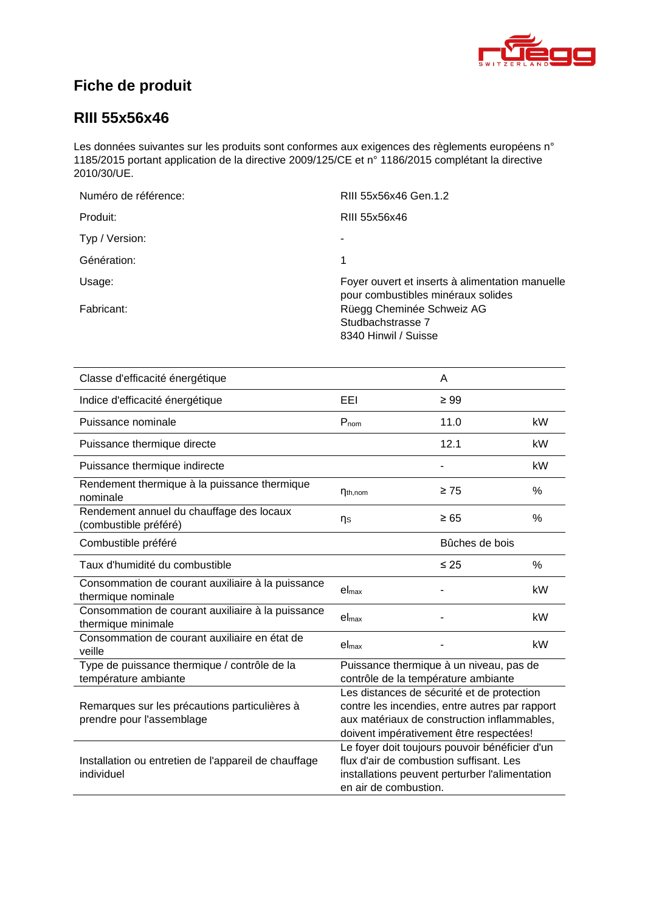

# **Fiche de produit**

### **RIII [55x56x46](#page-0-0)**

Les données suivantes sur les produits sont conformes aux exigences des règlements européens n° 1185/2015 portant application de la directive 2009/125/CE et n° 1186/2015 complétant la directive 2010/30/UE.

| Numéro de référence: | RIII 55x56x46 Gen.1.2                                                                 |
|----------------------|---------------------------------------------------------------------------------------|
| Produit:             | RIII 55x56x46                                                                         |
| Typ / Version:       | ۰                                                                                     |
| Génération:          | 1                                                                                     |
| Usage:               | Foyer ouvert et inserts à alimentation manuelle<br>pour combustibles minéraux solides |
| Fabricant:           | Rüegg Cheminée Schweiz AG<br>Studbachstrasse 7<br>8340 Hinwil / Suisse                |

| Classe d'efficacité énergétique                                            |                                                                                                                                                                                        | A              |      |
|----------------------------------------------------------------------------|----------------------------------------------------------------------------------------------------------------------------------------------------------------------------------------|----------------|------|
| Indice d'efficacité énergétique                                            | EEL                                                                                                                                                                                    | $\geq 99$      |      |
| Puissance nominale                                                         | $P_{nom}$                                                                                                                                                                              | 11.0           | kW   |
| Puissance thermique directe                                                |                                                                                                                                                                                        | 12.1           | kW   |
| Puissance thermique indirecte                                              |                                                                                                                                                                                        |                | kW   |
| Rendement thermique à la puissance thermique<br>nominale                   | $\eta_{th,nom}$                                                                                                                                                                        | $\geq 75$      | %    |
| Rendement annuel du chauffage des locaux<br>(combustible préféré)          | ηs                                                                                                                                                                                     | $\geq 65$      | %    |
| Combustible préféré                                                        |                                                                                                                                                                                        | Bûches de bois |      |
| Taux d'humidité du combustible                                             |                                                                                                                                                                                        | $\leq 25$      | $\%$ |
| Consommation de courant auxiliaire à la puissance<br>thermique nominale    | el <sub>max</sub>                                                                                                                                                                      |                | kW   |
| Consommation de courant auxiliaire à la puissance<br>thermique minimale    | el <sub>max</sub>                                                                                                                                                                      |                | kW   |
| Consommation de courant auxiliaire en état de<br>veille                    | el <sub>max</sub>                                                                                                                                                                      |                | kW   |
| Type de puissance thermique / contrôle de la<br>température ambiante       | Puissance thermique à un niveau, pas de<br>contrôle de la température ambiante                                                                                                         |                |      |
| Remarques sur les précautions particulières à<br>prendre pour l'assemblage | Les distances de sécurité et de protection<br>contre les incendies, entre autres par rapport<br>aux matériaux de construction inflammables,<br>doivent impérativement être respectées! |                |      |
| Installation ou entretien de l'appareil de chauffage<br>individuel         | Le foyer doit toujours pouvoir bénéficier d'un<br>flux d'air de combustion suffisant. Les<br>installations peuvent perturber l'alimentation<br>en air de combustion.                   |                |      |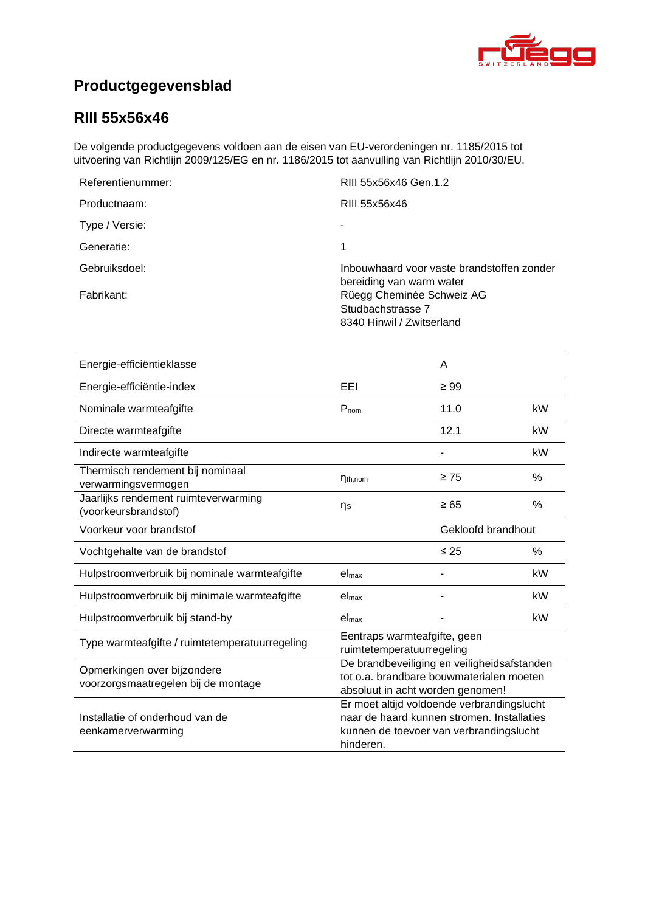

# **Productgegevensblad**

## **RIII [55x56x46](#page-0-0)**

De volgende productgegevens voldoen aan de eisen van EU-verordeningen nr. 1185/2015 tot uitvoering van Richtlijn 2009/125/EG en nr. 1186/2015 tot aanvulling van Richtlijn 2010/30/EU.

| Referentienummer: | RIII 55x56x46 Gen.1.2                                                       |
|-------------------|-----------------------------------------------------------------------------|
| Productnaam:      | RIII 55x56x46                                                               |
| Type / Versie:    |                                                                             |
| Generatie:        |                                                                             |
| Gebruiksdoel:     | Inbouwhaard voor vaste brandstoffen zonder<br>bereiding van warm water      |
| Fabrikant:        | Rüegg Cheminée Schweiz AG<br>Studbachstrasse 7<br>8340 Hinwil / Zwitserland |

| Energie-efficiëntieklasse                                          |                                                                                                                                                  | A         |               |
|--------------------------------------------------------------------|--------------------------------------------------------------------------------------------------------------------------------------------------|-----------|---------------|
| Energie-efficiëntie-index                                          | EEI                                                                                                                                              | $\geq 99$ |               |
| Nominale warmteafgifte                                             | $P_{nom}$                                                                                                                                        | 11.0      | kW            |
| Directe warmteafgifte                                              |                                                                                                                                                  | 12.1      | kW            |
| Indirecte warmteafgifte                                            |                                                                                                                                                  |           | kW            |
| Thermisch rendement bij nominaal<br>verwarmingsvermogen            | $\eta_{th,nom}$                                                                                                                                  | $\geq 75$ | $\frac{0}{0}$ |
| Jaarlijks rendement ruimteverwarming<br>(voorkeursbrandstof)       | ns                                                                                                                                               | $\geq 65$ | %             |
| Voorkeur voor brandstof                                            | Gekloofd brandhout                                                                                                                               |           |               |
| Vochtgehalte van de brandstof                                      |                                                                                                                                                  | $\leq 25$ | $\%$          |
| Hulpstroomverbruik bij nominale warmteafgifte                      | el <sub>max</sub>                                                                                                                                |           | kW            |
| Hulpstroomverbruik bij minimale warmteafgifte                      | el <sub>max</sub>                                                                                                                                |           | kW            |
| Hulpstroomverbruik bij stand-by                                    | el <sub>max</sub>                                                                                                                                |           | kW            |
| Type warmteafgifte / ruimtetemperatuurregeling                     | Eentraps warmteafgifte, geen<br>ruimtetemperatuurregeling                                                                                        |           |               |
| Opmerkingen over bijzondere<br>voorzorgsmaatregelen bij de montage | De brandbeveiliging en veiligheidsafstanden<br>tot o.a. brandbare bouwmaterialen moeten<br>absoluut in acht worden genomen!                      |           |               |
| Installatie of onderhoud van de<br>eenkamerverwarming              | Er moet altijd voldoende verbrandingslucht<br>naar de haard kunnen stromen. Installaties<br>kunnen de toevoer van verbrandingslucht<br>hinderen. |           |               |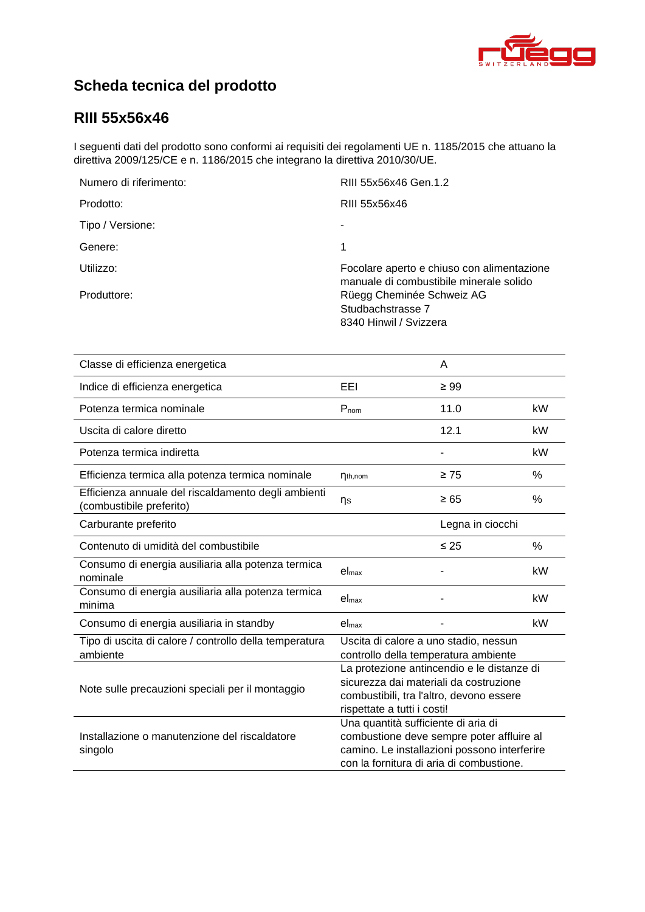

# **Scheda tecnica del prodotto**

## **RIII [55x56x46](#page-0-0)**

I seguenti dati del prodotto sono conformi ai requisiti dei regolamenti UE n. 1185/2015 che attuano la direttiva 2009/125/CE e n. 1186/2015 che integrano la direttiva 2010/30/UE.

| Numero di riferimento: | RIII 55x56x46 Gen.1.2                                                                 |
|------------------------|---------------------------------------------------------------------------------------|
| Prodotto:              | RIII 55x56x46                                                                         |
| Tipo / Versione:       |                                                                                       |
| Genere:                | 1                                                                                     |
| Utilizzo:              | Focolare aperto e chiuso con alimentazione<br>manuale di combustibile minerale solido |
| Produttore:            | Rüegg Cheminée Schweiz AG<br>Studbachstrasse 7<br>8340 Hinwil / Svizzera              |

| Classe di efficienza energetica                                                |                                                                                                                                                                              | A                |      |
|--------------------------------------------------------------------------------|------------------------------------------------------------------------------------------------------------------------------------------------------------------------------|------------------|------|
| Indice di efficienza energetica                                                | EEI                                                                                                                                                                          | $\geq 99$        |      |
| Potenza termica nominale                                                       | $P_{nom}$                                                                                                                                                                    | 11.0             | kW   |
| Uscita di calore diretto                                                       |                                                                                                                                                                              | 12.1             | kW   |
| Potenza termica indiretta                                                      |                                                                                                                                                                              |                  | kW   |
| Efficienza termica alla potenza termica nominale                               | $\eta_{th,nom}$                                                                                                                                                              | $\geq 75$        | %    |
| Efficienza annuale del riscaldamento degli ambienti<br>combustibile preferito) | ηs                                                                                                                                                                           | $\geq 65$        | %    |
| Carburante preferito                                                           |                                                                                                                                                                              | Legna in ciocchi |      |
| Contenuto di umidità del combustibile                                          |                                                                                                                                                                              | $\leq 25$        | $\%$ |
| Consumo di energia ausiliaria alla potenza termica<br>nominale                 | el <sub>max</sub>                                                                                                                                                            |                  | kW   |
| Consumo di energia ausiliaria alla potenza termica<br>minima                   | $el_{max}$                                                                                                                                                                   |                  | kW   |
| Consumo di energia ausiliaria in standby                                       | el <sub>max</sub>                                                                                                                                                            |                  | kW   |
| Tipo di uscita di calore / controllo della temperatura<br>ambiente             | Uscita di calore a uno stadio, nessun<br>controllo della temperatura ambiente                                                                                                |                  |      |
| Note sulle precauzioni speciali per il montaggio                               | La protezione antincendio e le distanze di<br>sicurezza dai materiali da costruzione<br>combustibili, tra l'altro, devono essere<br>rispettate a tutti i costi!              |                  |      |
| Installazione o manutenzione del riscaldatore<br>singolo                       | Una quantità sufficiente di aria di<br>combustione deve sempre poter affluire al<br>camino. Le installazioni possono interferire<br>con la fornitura di aria di combustione. |                  |      |